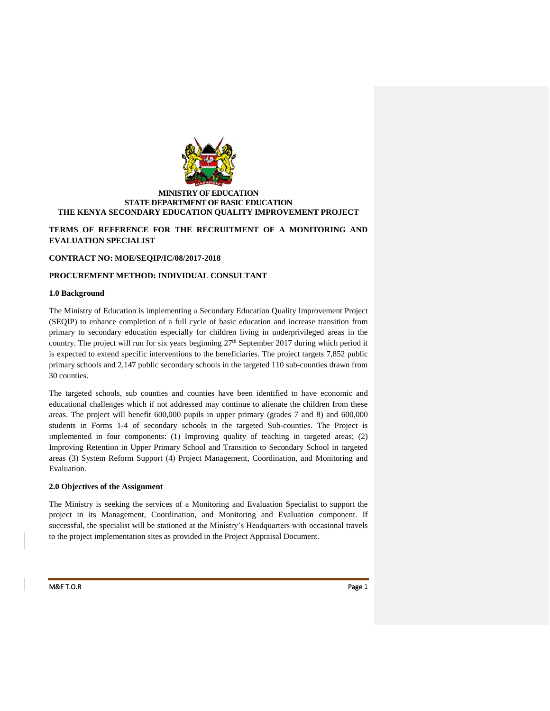

## **MINISTRY OF EDUCATION STATE DEPARTMENT OF BASIC EDUCATION THE KENYA SECONDARY EDUCATION QUALITY IMPROVEMENT PROJECT**

**TERMS OF REFERENCE FOR THE RECRUITMENT OF A MONITORING AND EVALUATION SPECIALIST**

## **CONTRACT NO: MOE/SEQIP/IC/08/2017-2018**

## **PROCUREMENT METHOD: INDIVIDUAL CONSULTANT**

## **1.0 Background**

The Ministry of Education is implementing a Secondary Education Quality Improvement Project (SEQIP) to enhance completion of a full cycle of basic education and increase transition from primary to secondary education especially for children living in underprivileged areas in the country. The project will run for six years beginning  $27<sup>th</sup>$  September 2017 during which period it is expected to extend specific interventions to the beneficiaries. The project targets 7,852 public primary schools and 2,147 public secondary schools in the targeted 110 sub-counties drawn from 30 counties.

The targeted schools, sub counties and counties have been identified to have economic and educational challenges which if not addressed may continue to alienate the children from these areas. The project will benefit 600,000 pupils in upper primary (grades 7 and 8) and 600,000 students in Forms 1-4 of secondary schools in the targeted Sub-counties. The Project is implemented in four components: (1) Improving quality of teaching in targeted areas; (2) Improving Retention in Upper Primary School and Transition to Secondary School in targeted areas (3) System Reform Support (4) Project Management, Coordination, and Monitoring and Evaluation.

# **2.0 Objectives of the Assignment**

The Ministry is seeking the services of a Monitoring and Evaluation Specialist to support the project in its Management, Coordination, and Monitoring and Evaluation component. If successful, the specialist will be stationed at the Ministry's Headquarters with occasional travels to the project implementation sites as provided in the Project Appraisal Document.

#### M&E T.O.R Page 1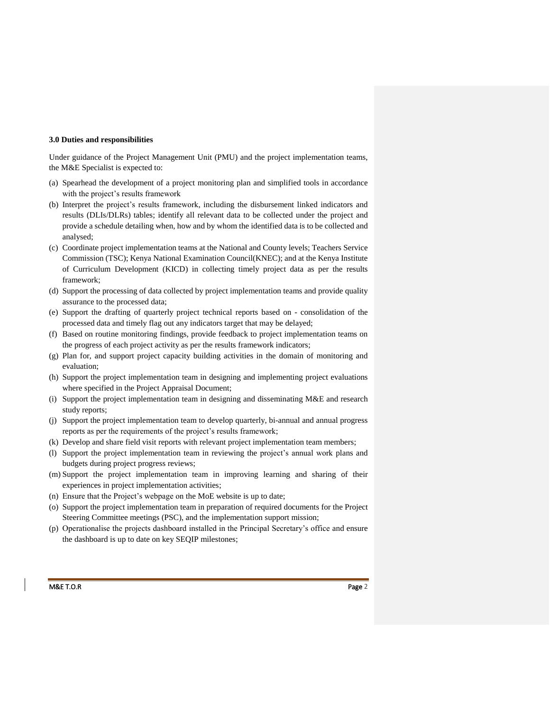#### **3.0 Duties and responsibilities**

Under guidance of the Project Management Unit (PMU) and the project implementation teams, the M&E Specialist is expected to:

- (a) Spearhead the development of a project monitoring plan and simplified tools in accordance with the project's results framework
- (b) Interpret the project's results framework, including the disbursement linked indicators and results (DLIs/DLRs) tables; identify all relevant data to be collected under the project and provide a schedule detailing when, how and by whom the identified data is to be collected and analysed;
- (c) Coordinate project implementation teams at the National and County levels; Teachers Service Commission (TSC); Kenya National Examination Council(KNEC); and at the Kenya Institute of Curriculum Development (KICD) in collecting timely project data as per the results framework;
- (d) Support the processing of data collected by project implementation teams and provide quality assurance to the processed data;
- (e) Support the drafting of quarterly project technical reports based on consolidation of the processed data and timely flag out any indicators target that may be delayed;
- (f) Based on routine monitoring findings, provide feedback to project implementation teams on the progress of each project activity as per the results framework indicators;
- (g) Plan for, and support project capacity building activities in the domain of monitoring and evaluation;
- (h) Support the project implementation team in designing and implementing project evaluations where specified in the Project Appraisal Document;
- (i) Support the project implementation team in designing and disseminating M&E and research study reports;
- (j) Support the project implementation team to develop quarterly, bi-annual and annual progress reports as per the requirements of the project's results framework;
- (k) Develop and share field visit reports with relevant project implementation team members;
- (l) Support the project implementation team in reviewing the project's annual work plans and budgets during project progress reviews;
- (m) Support the project implementation team in improving learning and sharing of their experiences in project implementation activities;
- (n) Ensure that the Project's webpage on the MoE website is up to date;
- (o) Support the project implementation team in preparation of required documents for the Project Steering Committee meetings (PSC), and the implementation support mission;
- (p) Operationalise the projects dashboard installed in the Principal Secretary's office and ensure the dashboard is up to date on key SEQIP milestones;